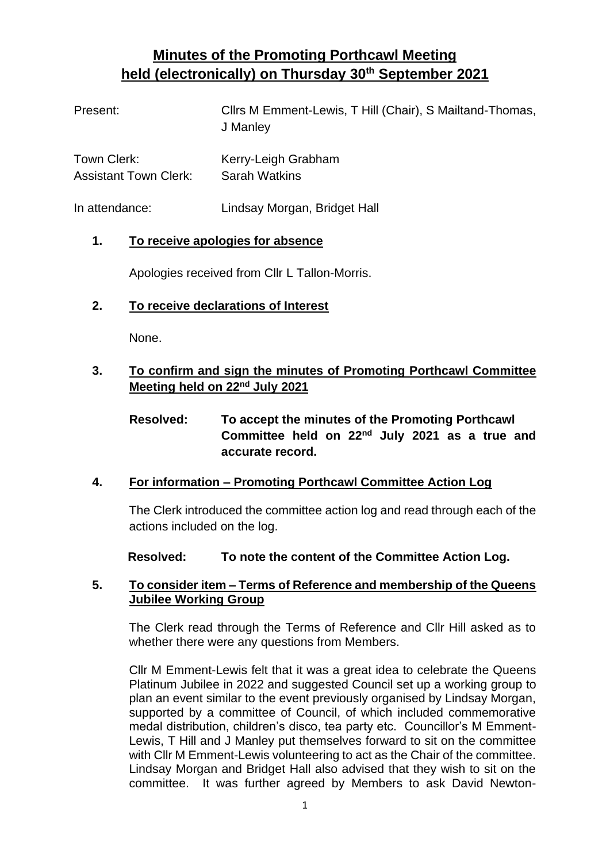# **Minutes of the Promoting Porthcawl Meeting held (electronically) on Thursday 30th September 2021**

| Present:                     | Cllrs M Emment-Lewis, T Hill (Chair), S Mailtand-Thomas,<br>J Manley |
|------------------------------|----------------------------------------------------------------------|
| Town Clerk:                  | Kerry-Leigh Grabham                                                  |
| <b>Assistant Town Clerk:</b> | <b>Sarah Watkins</b>                                                 |

In attendance: Lindsay Morgan, Bridget Hall

### **1. To receive apologies for absence**

Apologies received from Cllr L Tallon-Morris.

### **2. To receive declarations of Interest**

None.

# **3. To confirm and sign the minutes of Promoting Porthcawl Committee Meeting held on 22nd July 2021**

# **Resolved: To accept the minutes of the Promoting Porthcawl Committee held on 22nd July 2021 as a true and accurate record.**

### **4. For information – Promoting Porthcawl Committee Action Log**

The Clerk introduced the committee action log and read through each of the actions included on the log.

**Resolved: To note the content of the Committee Action Log.** 

### **5. To consider item – Terms of Reference and membership of the Queens Jubilee Working Group**

The Clerk read through the Terms of Reference and Cllr Hill asked as to whether there were any questions from Members.

Cllr M Emment-Lewis felt that it was a great idea to celebrate the Queens Platinum Jubilee in 2022 and suggested Council set up a working group to plan an event similar to the event previously organised by Lindsay Morgan, supported by a committee of Council, of which included commemorative medal distribution, children's disco, tea party etc. Councillor's M Emment-Lewis, T Hill and J Manley put themselves forward to sit on the committee with Cllr M Emment-Lewis volunteering to act as the Chair of the committee. Lindsay Morgan and Bridget Hall also advised that they wish to sit on the committee. It was further agreed by Members to ask David Newton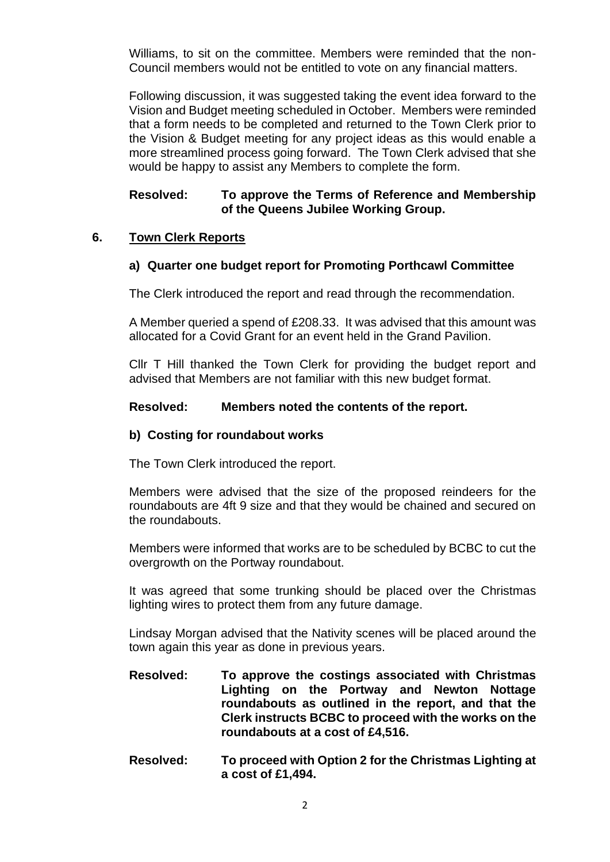Williams, to sit on the committee. Members were reminded that the non-Council members would not be entitled to vote on any financial matters.

Following discussion, it was suggested taking the event idea forward to the Vision and Budget meeting scheduled in October. Members were reminded that a form needs to be completed and returned to the Town Clerk prior to the Vision & Budget meeting for any project ideas as this would enable a more streamlined process going forward. The Town Clerk advised that she would be happy to assist any Members to complete the form.

#### **Resolved: To approve the Terms of Reference and Membership of the Queens Jubilee Working Group.**

#### **6. Town Clerk Reports**

#### **a) Quarter one budget report for Promoting Porthcawl Committee**

The Clerk introduced the report and read through the recommendation.

A Member queried a spend of £208.33. It was advised that this amount was allocated for a Covid Grant for an event held in the Grand Pavilion.

Cllr T Hill thanked the Town Clerk for providing the budget report and advised that Members are not familiar with this new budget format.

#### **Resolved: Members noted the contents of the report.**

#### **b) Costing for roundabout works**

The Town Clerk introduced the report.

Members were advised that the size of the proposed reindeers for the roundabouts are 4ft 9 size and that they would be chained and secured on the roundabouts.

Members were informed that works are to be scheduled by BCBC to cut the overgrowth on the Portway roundabout.

It was agreed that some trunking should be placed over the Christmas lighting wires to protect them from any future damage.

Lindsay Morgan advised that the Nativity scenes will be placed around the town again this year as done in previous years.

- **Resolved: To approve the costings associated with Christmas Lighting on the Portway and Newton Nottage roundabouts as outlined in the report, and that the Clerk instructs BCBC to proceed with the works on the roundabouts at a cost of £4,516.**
- **Resolved: To proceed with Option 2 for the Christmas Lighting at a cost of £1,494.**